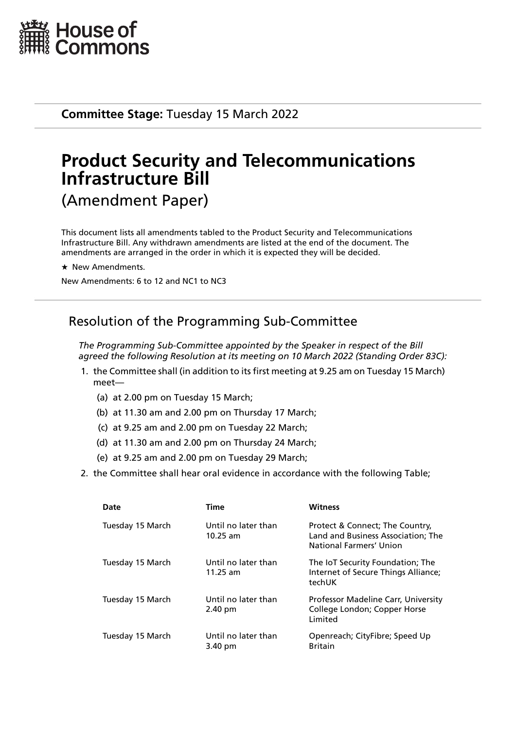

**Committee Stage:** Tuesday 15 March 2022

# **Product Security and Telecommunications Infrastructure Bill** (Amendment Paper)

This document lists all amendments tabled to the Product Security and Telecommunications Infrastructure Bill. Any withdrawn amendments are listed at the end of the document. The amendments are arranged in the order in which it is expected they will be decided.

 $\star$  New Amendments.

New Amendments: 6 to 12 and NC1 to NC3

# Resolution of the Programming Sub-Committee

*The Programming Sub-Committee appointed by the Speaker in respect of the Bill agreed the following Resolution at its meeting on 10 March 2022 (Standing Order 83C):*

- 1. the Committee shall (in addition to its first meeting at 9.25 am on Tuesday 15 March) meet—
	- (a) at 2.00 pm on Tuesday 15 March;
	- (b) at 11.30 am and 2.00 pm on Thursday 17 March;
	- (c) at 9.25 am and 2.00 pm on Tuesday 22 March;
	- (d) at 11.30 am and 2.00 pm on Thursday 24 March;
	- (e) at 9.25 am and 2.00 pm on Tuesday 29 March;
- 2. the Committee shall hear oral evidence in accordance with the following Table;

| Date             | <b>Time</b>                       | <b>Witness</b>                                                                                   |
|------------------|-----------------------------------|--------------------------------------------------------------------------------------------------|
| Tuesday 15 March | Until no later than<br>$10.25$ am | Protect & Connect; The Country,<br>Land and Business Association; The<br>National Farmers' Union |
| Tuesday 15 March | Until no later than<br>$11.25$ am | The IoT Security Foundation; The<br>Internet of Secure Things Alliance;<br>techUK                |
| Tuesday 15 March | Until no later than<br>$2.40$ pm  | Professor Madeline Carr, University<br>College London; Copper Horse<br>Limited                   |
| Tuesday 15 March | Until no later than<br>3.40 pm    | Openreach; CityFibre; Speed Up<br><b>Britain</b>                                                 |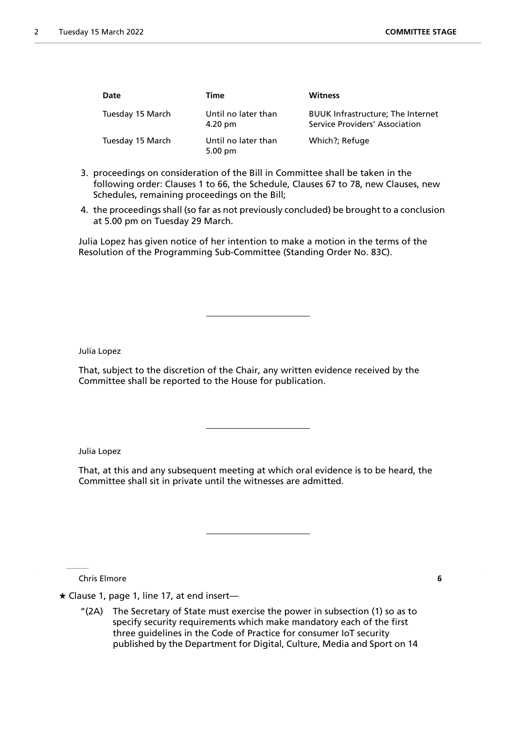| Date             | Time                                     | <b>Witness</b>                                                             |
|------------------|------------------------------------------|----------------------------------------------------------------------------|
| Tuesday 15 March | Until no later than<br>4.20 pm           | <b>BUUK Infrastructure; The Internet</b><br>Service Providers' Association |
| Tuesday 15 March | Until no later than<br>$5.00 \text{ pm}$ | Which?; Refuge                                                             |

- 3. proceedings on consideration of the Bill in Committee shall be taken in the following order: Clauses 1 to 66, the Schedule, Clauses 67 to 78, new Clauses, new Schedules, remaining proceedings on the Bill;
- 4. the proceedings shall (so far as not previously concluded) be brought to a conclusion at 5.00 pm on Tuesday 29 March.

Julia Lopez has given notice of her intention to make a motion in the terms of the Resolution of the Programming Sub-Committee (Standing Order No. 83C).

Julia Lopez

That, subject to the discretion of the Chair, any written evidence received by the Committee shall be reported to the House for publication.

Julia Lopez

That, at this and any subsequent meeting at which oral evidence is to be heard, the Committee shall sit in private until the witnesses are admitted.

Chris Elmore **6**

 $\star$  Clause 1, page 1, line 17, at end insert-

"(2A) The Secretary of State must exercise the power in subsection (1) so as to specify security requirements which make mandatory each of the first three guidelines in the Code of Practice for consumer IoT security published by the Department for Digital, Culture, Media and Sport on 14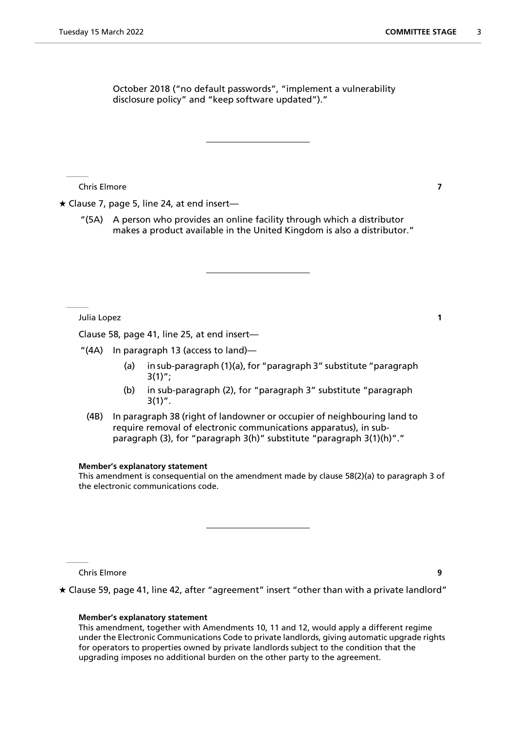October 2018 ("no default passwords", "implement a vulnerability disclosure policy" and "keep software updated")."

Chris Elmore **7**

 $\star$  Clause 7, page 5, line 24, at end insert-

"(5A) A person who provides an online facility through which a distributor makes a product available in the United Kingdom is also a distributor."

Julia Lopez **1**

Clause 58, page 41, line 25, at end insert—

"(4A) In paragraph 13 (access to land)—

- (a) in sub-paragraph (1)(a), for "paragraph 3" substitute "paragraph  $3(1)$ ";
- (b) in sub-paragraph (2), for "paragraph 3" substitute "paragraph  $3(1)$ ".
- (4B) In paragraph 38 (right of landowner or occupier of neighbouring land to require removal of electronic communications apparatus), in subparagraph (3), for "paragraph 3(h)" substitute "paragraph 3(1)(h)"."

#### **Member's explanatory statement**

This amendment is consequential on the amendment made by clause 58(2)(a) to paragraph 3 of the electronic communications code.

Chris Elmore **9**

 $\star$  Clause 59, page 41, line 42, after "agreement" insert "other than with a private landlord"

# **Member's explanatory statement**

This amendment, together with Amendments 10, 11 and 12, would apply a different regime under the Electronic Communications Code to private landlords, giving automatic upgrade rights for operators to properties owned by private landlords subject to the condition that the upgrading imposes no additional burden on the other party to the agreement.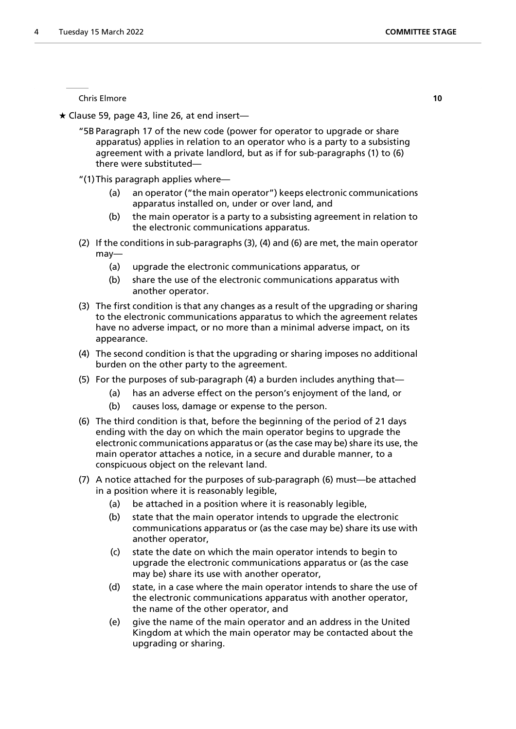Chris Elmore **10**

 $\star$  Clause 59, page 43, line 26, at end insert—

"5B Paragraph 17 of the new code (power for operator to upgrade or share apparatus) applies in relation to an operator who is a party to a subsisting agreement with a private landlord, but as if for sub-paragraphs (1) to (6) there were substituted—

- "(1)This paragraph applies where—
	- (a) an operator ("the main operator") keeps electronic communications apparatus installed on, under or over land, and
	- (b) the main operator is a party to a subsisting agreement in relation to the electronic communications apparatus.
- (2) If the conditions in sub-paragraphs (3), (4) and (6) are met, the main operator may—
	- (a) upgrade the electronic communications apparatus, or
	- (b) share the use of the electronic communications apparatus with another operator.
- (3) The first condition is that any changes as a result of the upgrading or sharing to the electronic communications apparatus to which the agreement relates have no adverse impact, or no more than a minimal adverse impact, on its appearance.
- (4) The second condition is that the upgrading or sharing imposes no additional burden on the other party to the agreement.
- (5) For the purposes of sub-paragraph (4) a burden includes anything that—
	- (a) has an adverse effect on the person's enjoyment of the land, or
	- (b) causes loss, damage or expense to the person.
- (6) The third condition is that, before the beginning of the period of 21 days ending with the day on which the main operator begins to upgrade the electronic communications apparatus or (as the case may be) share its use, the main operator attaches a notice, in a secure and durable manner, to a conspicuous object on the relevant land.
- (7) A notice attached for the purposes of sub-paragraph (6) must—be attached in a position where it is reasonably legible,
	- (a) be attached in a position where it is reasonably legible,
	- (b) state that the main operator intends to upgrade the electronic communications apparatus or (as the case may be) share its use with another operator,
	- (c) state the date on which the main operator intends to begin to upgrade the electronic communications apparatus or (as the case may be) share its use with another operator,
	- (d) state, in a case where the main operator intends to share the use of the electronic communications apparatus with another operator, the name of the other operator, and
	- (e) give the name of the main operator and an address in the United Kingdom at which the main operator may be contacted about the upgrading or sharing.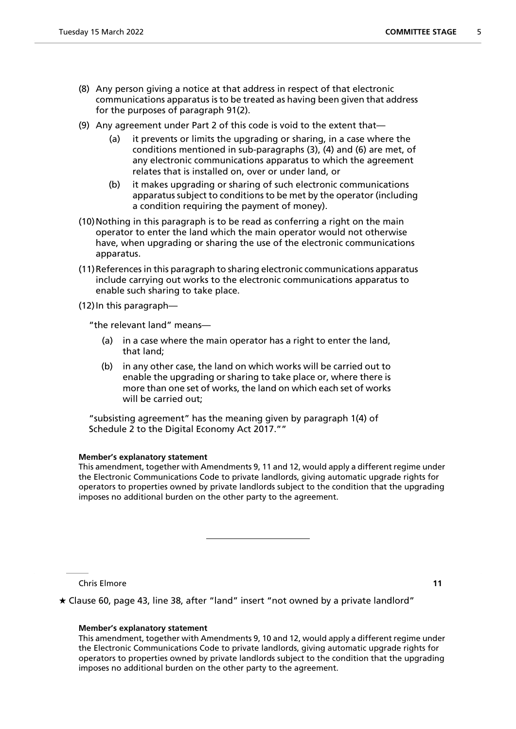- (8) Any person giving a notice at that address in respect of that electronic communications apparatus is to be treated as having been given that address for the purposes of paragraph 91(2).
- (9) Any agreement under Part 2 of this code is void to the extent that—
	- (a) it prevents or limits the upgrading or sharing, in a case where the conditions mentioned in sub-paragraphs (3), (4) and (6) are met, of any electronic communications apparatus to which the agreement relates that is installed on, over or under land, or
	- (b) it makes upgrading or sharing of such electronic communications apparatus subject to conditions to be met by the operator (including a condition requiring the payment of money).
- (10)Nothing in this paragraph is to be read as conferring a right on the main operator to enter the land which the main operator would not otherwise have, when upgrading or sharing the use of the electronic communications apparatus.
- (11)References in this paragraph to sharing electronic communications apparatus include carrying out works to the electronic communications apparatus to enable such sharing to take place.

 $(12)$  In this paragraph—

"the relevant land" means—

- (a) in a case where the main operator has a right to enter the land, that land;
- (b) in any other case, the land on which works will be carried out to enable the upgrading or sharing to take place or, where there is more than one set of works, the land on which each set of works will be carried out;

"subsisting agreement" has the meaning given by paragraph 1(4) of Schedule 2 to the Digital Economy Act 2017.""

# **Member's explanatory statement**

This amendment, together with Amendments 9, 11 and 12, would apply a different regime under the Electronic Communications Code to private landlords, giving automatic upgrade rights for operators to properties owned by private landlords subject to the condition that the upgrading imposes no additional burden on the other party to the agreement.

Chris Elmore **11**

Clause 60, page 43, line 38, after "land" insert "not owned by a private landlord"

# **Member's explanatory statement**

This amendment, together with Amendments 9, 10 and 12, would apply a different regime under the Electronic Communications Code to private landlords, giving automatic upgrade rights for operators to properties owned by private landlords subject to the condition that the upgrading imposes no additional burden on the other party to the agreement.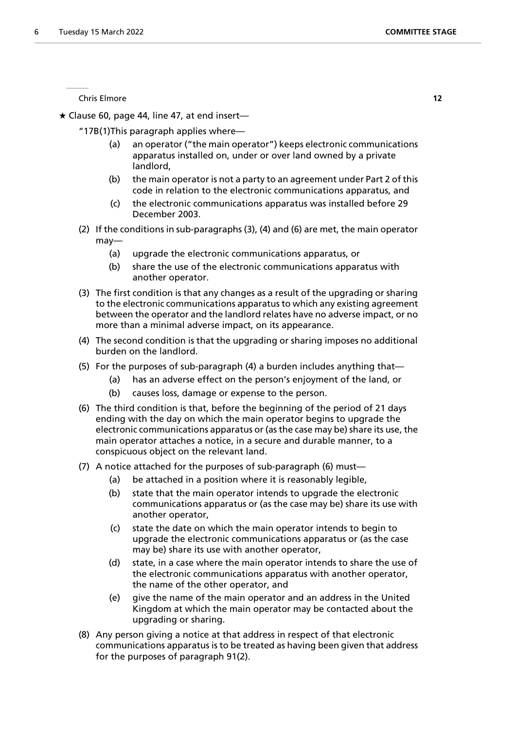Chris Elmore **12**

 $\star$  Clause 60, page 44, line 47, at end insert—

"17B(1)This paragraph applies where—

- (a) an operator ("the main operator") keeps electronic communications apparatus installed on, under or over land owned by a private landlord,
- (b) the main operator is not a party to an agreement under Part 2 of this code in relation to the electronic communications apparatus, and
- (c) the electronic communications apparatus was installed before 29 December 2003.
- (2) If the conditions in sub-paragraphs (3), (4) and (6) are met, the main operator may—
	- (a) upgrade the electronic communications apparatus, or
	- (b) share the use of the electronic communications apparatus with another operator.
- (3) The first condition is that any changes as a result of the upgrading or sharing to the electronic communications apparatus to which any existing agreement between the operator and the landlord relates have no adverse impact, or no more than a minimal adverse impact, on its appearance.
- (4) The second condition is that the upgrading or sharing imposes no additional burden on the landlord.
- (5) For the purposes of sub-paragraph (4) a burden includes anything that—
	- (a) has an adverse effect on the person's enjoyment of the land, or
	- (b) causes loss, damage or expense to the person.
- (6) The third condition is that, before the beginning of the period of 21 days ending with the day on which the main operator begins to upgrade the electronic communications apparatus or (as the case may be) share its use, the main operator attaches a notice, in a secure and durable manner, to a conspicuous object on the relevant land.
- (7) A notice attached for the purposes of sub-paragraph (6) must—
	- (a) be attached in a position where it is reasonably legible,
	- (b) state that the main operator intends to upgrade the electronic communications apparatus or (as the case may be) share its use with another operator,
	- (c) state the date on which the main operator intends to begin to upgrade the electronic communications apparatus or (as the case may be) share its use with another operator,
	- (d) state, in a case where the main operator intends to share the use of the electronic communications apparatus with another operator, the name of the other operator, and
	- (e) give the name of the main operator and an address in the United Kingdom at which the main operator may be contacted about the upgrading or sharing.
- (8) Any person giving a notice at that address in respect of that electronic communications apparatus is to be treated as having been given that address for the purposes of paragraph 91(2).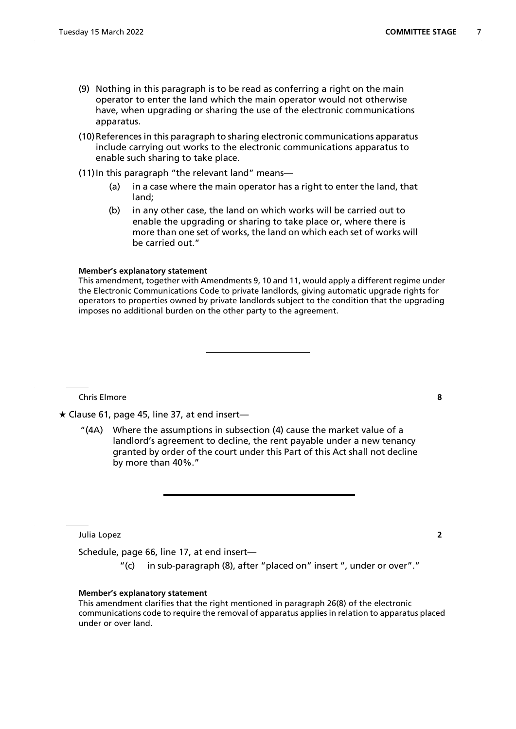- (9) Nothing in this paragraph is to be read as conferring a right on the main operator to enter the land which the main operator would not otherwise have, when upgrading or sharing the use of the electronic communications apparatus.
- (10)References in this paragraph to sharing electronic communications apparatus include carrying out works to the electronic communications apparatus to enable such sharing to take place.
- (11) In this paragraph "the relevant land" means—
	- (a) in a case where the main operator has a right to enter the land, that land;
	- (b) in any other case, the land on which works will be carried out to enable the upgrading or sharing to take place or, where there is more than one set of works, the land on which each set of works will be carried out."

#### **Member's explanatory statement**

This amendment, together with Amendments 9, 10 and 11, would apply a different regime under the Electronic Communications Code to private landlords, giving automatic upgrade rights for operators to properties owned by private landlords subject to the condition that the upgrading imposes no additional burden on the other party to the agreement.

Chris Elmore **8**

 $\star$  Clause 61, page 45, line 37, at end insert-

"(4A) Where the assumptions in subsection (4) cause the market value of a landlord's agreement to decline, the rent payable under a new tenancy granted by order of the court under this Part of this Act shall not decline by more than 40%."

Julia Lopez **2**

Schedule, page 66, line 17, at end insert—

"(c) in sub-paragraph (8), after "placed on" insert ", under or over"."

# **Member's explanatory statement**

This amendment clarifies that the right mentioned in paragraph 26(8) of the electronic communications code to require the removal of apparatus applies in relation to apparatus placed under or over land.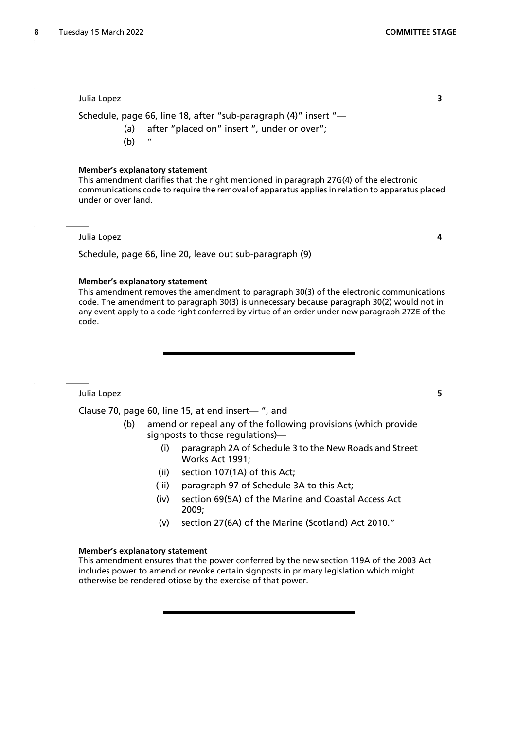Julia Lopez **3**

Schedule, page 66, line 18, after "sub-paragraph (4)" insert "—

- (a) after "placed on" insert ", under or over";
- $(b)$

#### **Member's explanatory statement**

This amendment clarifies that the right mentioned in paragraph 27G(4) of the electronic communications code to require the removal of apparatus applies in relation to apparatus placed under or over land.

Julia Lopez **4**

Schedule, page 66, line 20, leave out sub-paragraph (9)

#### **Member's explanatory statement**

This amendment removes the amendment to paragraph 30(3) of the electronic communications code. The amendment to paragraph 30(3) is unnecessary because paragraph 30(2) would not in any event apply to a code right conferred by virtue of an order under new paragraph 27ZE of the code.

Julia Lopez **5**

Clause 70, page 60, line 15, at end insert— ", and

- (b) amend or repeal any of the following provisions (which provide signposts to those regulations)—
	- (i) paragraph 2A of Schedule 3 to the New Roads and Street Works Act 1991;
	- (ii) section 107(1A) of this Act;
	- (iii) paragraph 97 of Schedule 3A to this Act;
	- (iv) section 69(5A) of the Marine and Coastal Access Act 2009;
	- (v) section 27(6A) of the Marine (Scotland) Act 2010."

#### **Member's explanatory statement**

This amendment ensures that the power conferred by the new section 119A of the 2003 Act includes power to amend or revoke certain signposts in primary legislation which might otherwise be rendered otiose by the exercise of that power.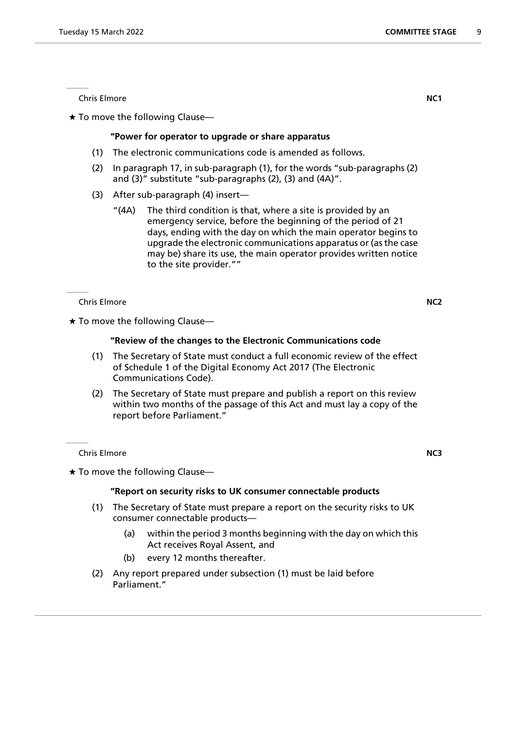**Chris Elmore NC1** 

 $\star$  To move the following Clause—

# **"Power for operator to upgrade or share apparatus**

- (1) The electronic communications code is amended as follows.
- (2) In paragraph 17, in sub-paragraph (1), for the words "sub-paragraphs (2) and (3)" substitute "sub-paragraphs (2), (3) and (4A)".
- (3) After sub-paragraph (4) insert—
	- "(4A) The third condition is that, where a site is provided by an emergency service, before the beginning of the period of 21 days, ending with the day on which the main operator begins to upgrade the electronic communications apparatus or (as the case may be) share its use, the main operator provides written notice to the site provider.""

Chris Elmore **NC2**

 $\star$  To move the following Clause—

# **"Review of the changes to the Electronic Communications code**

- (1) The Secretary of State must conduct a full economic review of the effect of Schedule 1 of the Digital Economy Act 2017 (The Electronic Communications Code).
- (2) The Secretary of State must prepare and publish a report on this review within two months of the passage of this Act and must lay a copy of the report before Parliament."

Chris Elmore **NC3**

 $\star$  To move the following Clause-

# **"Report on security risks to UK consumer connectable products**

- (1) The Secretary of State must prepare a report on the security risks to UK consumer connectable products—
	- (a) within the period 3 months beginning with the day on which this Act receives Royal Assent, and
	- (b) every 12 months thereafter.
- (2) Any report prepared under subsection (1) must be laid before Parliament."